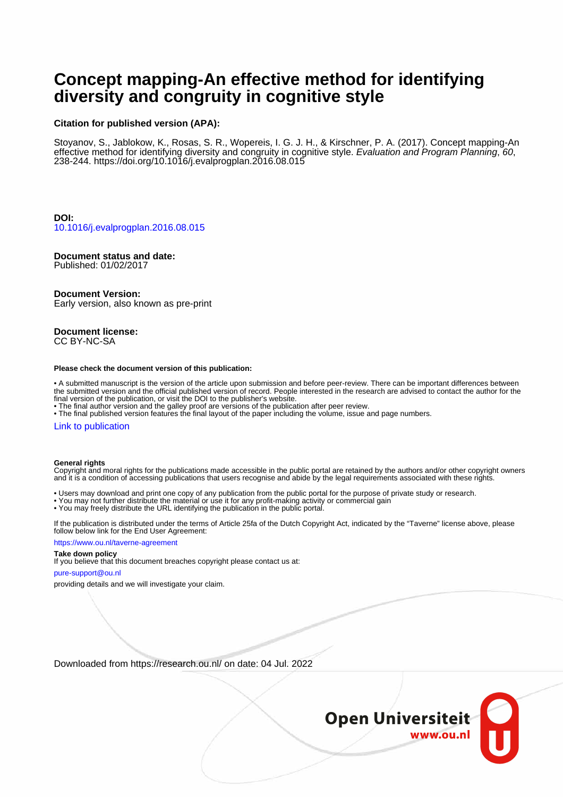# **Concept mapping-An effective method for identifying diversity and congruity in cognitive style**

#### **Citation for published version (APA):**

Stoyanov, S., Jablokow, K., Rosas, S. R., Wopereis, I. G. J. H., & Kirschner, P. A. (2017). Concept mapping-An effective method for identifying diversity and congruity in cognitive style. Evaluation and Program Planning, 60, 238-244.<https://doi.org/10.1016/j.evalprogplan.2016.08.015>

**DOI:** [10.1016/j.evalprogplan.2016.08.015](https://doi.org/10.1016/j.evalprogplan.2016.08.015)

#### **Document status and date:**

Published: 01/02/2017

#### **Document Version:**

Early version, also known as pre-print

#### **Document license:** CC BY-NC-SA

#### **Please check the document version of this publication:**

• A submitted manuscript is the version of the article upon submission and before peer-review. There can be important differences between the submitted version and the official published version of record. People interested in the research are advised to contact the author for the final version of the publication, or visit the DOI to the publisher's website.

• The final author version and the galley proof are versions of the publication after peer review.

• The final published version features the final layout of the paper including the volume, issue and page numbers.

#### [Link to publication](https://research.ou.nl/en/publications/a827edc4-8c5e-4e9e-84c7-e9dd1372eb38)

#### **General rights**

Copyright and moral rights for the publications made accessible in the public portal are retained by the authors and/or other copyright owners and it is a condition of accessing publications that users recognise and abide by the legal requirements associated with these rights.

- Users may download and print one copy of any publication from the public portal for the purpose of private study or research.
- You may not further distribute the material or use it for any profit-making activity or commercial gain
- You may freely distribute the URL identifying the publication in the public portal.

If the publication is distributed under the terms of Article 25fa of the Dutch Copyright Act, indicated by the "Taverne" license above, please follow below link for the End User Agreement:

#### https://www.ou.nl/taverne-agreement

#### **Take down policy**

If you believe that this document breaches copyright please contact us at:

#### pure-support@ou.nl

providing details and we will investigate your claim.

Downloaded from https://research.ou.nl/ on date: 04 Jul. 2022

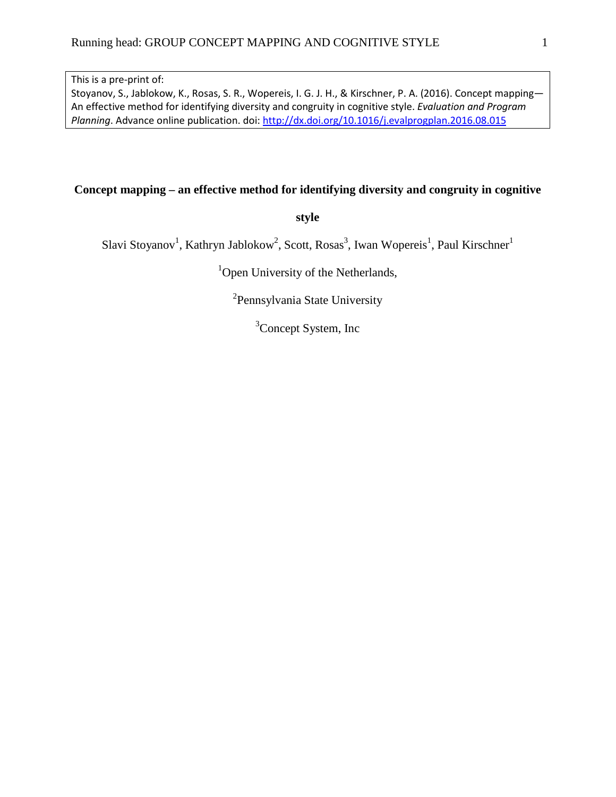This is a pre-print of:

Stoyanov, S., Jablokow, K., Rosas, S. R., Wopereis, I. G. J. H., & Kirschner, P. A. (2016). Concept mapping— An effective method for identifying diversity and congruity in cognitive style. *Evaluation and Program Planning*. Advance online publication. doi: <http://dx.doi.org/10.1016/j.evalprogplan.2016.08.015>

# **Concept mapping – an effective method for identifying diversity and congruity in cognitive**

**style**

Slavi Stoyanov<sup>1</sup>, Kathryn Jablokow<sup>2</sup>, Scott, Rosas<sup>3</sup>, Iwan Wopereis<sup>1</sup>, Paul Kirschner<sup>1</sup>

<sup>1</sup>Open University of the Netherlands,

<sup>2</sup>Pennsylvania State University

<sup>3</sup>Concept System, Inc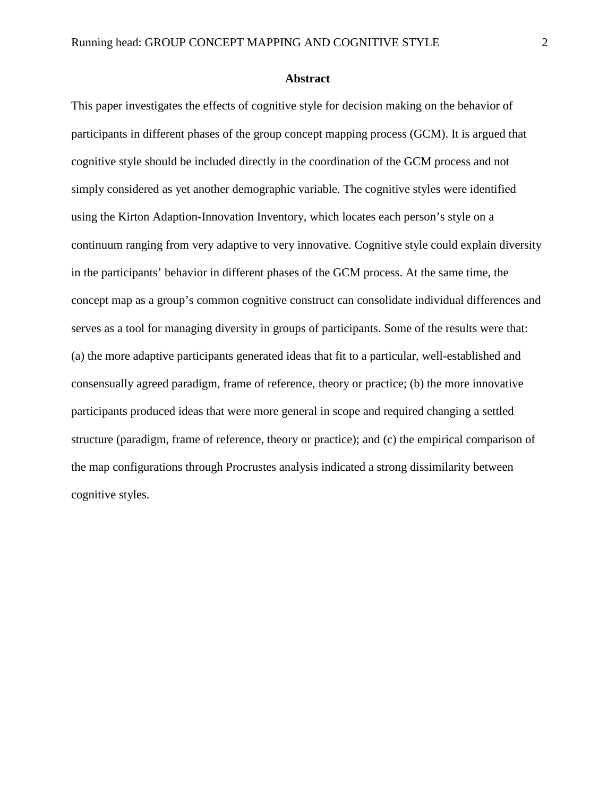## **Abstract**

This paper investigates the effects of cognitive style for decision making on the behavior of participants in different phases of the group concept mapping process (GCM). It is argued that cognitive style should be included directly in the coordination of the GCM process and not simply considered as yet another demographic variable. The cognitive styles were identified using the Kirton Adaption-Innovation Inventory, which locates each person's style on a continuum ranging from very adaptive to very innovative. Cognitive style could explain diversity in the participants' behavior in different phases of the GCM process. At the same time, the concept map as a group's common cognitive construct can consolidate individual differences and serves as a tool for managing diversity in groups of participants. Some of the results were that: (a) the more adaptive participants generated ideas that fit to a particular, well-established and consensually agreed paradigm, frame of reference, theory or practice; (b) the more innovative participants produced ideas that were more general in scope and required changing a settled structure (paradigm, frame of reference, theory or practice); and (c) the empirical comparison of the map configurations through Procrustes analysis indicated a strong dissimilarity between cognitive styles.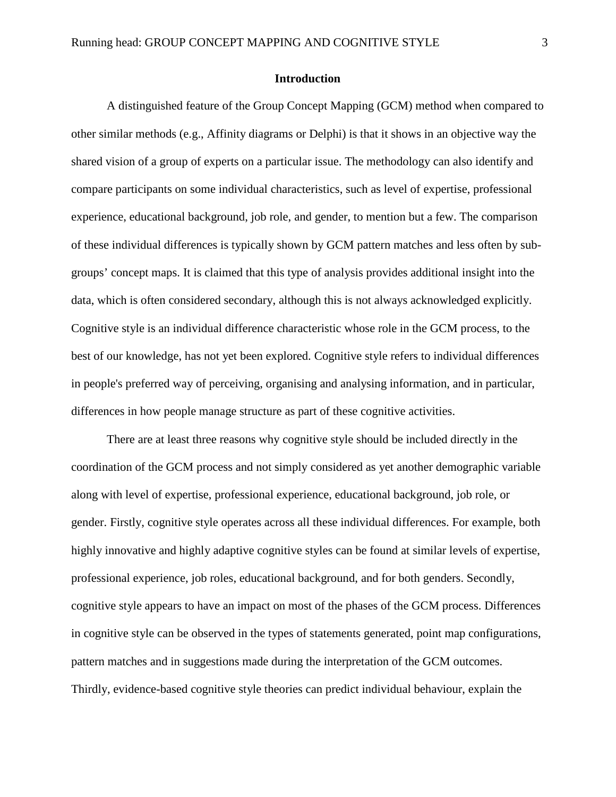## **Introduction**

A distinguished feature of the Group Concept Mapping (GCM) method when compared to other similar methods (e.g., Affinity diagrams or Delphi) is that it shows in an objective way the shared vision of a group of experts on a particular issue. The methodology can also identify and compare participants on some individual characteristics, such as level of expertise, professional experience, educational background, job role, and gender, to mention but a few. The comparison of these individual differences is typically shown by GCM pattern matches and less often by subgroups' concept maps. It is claimed that this type of analysis provides additional insight into the data, which is often considered secondary, although this is not always acknowledged explicitly. Cognitive style is an individual difference characteristic whose role in the GCM process, to the best of our knowledge, has not yet been explored. Cognitive style refers to individual differences in people's preferred way of perceiving, organising and analysing information, and in particular, differences in how people manage structure as part of these cognitive activities.

There are at least three reasons why cognitive style should be included directly in the coordination of the GCM process and not simply considered as yet another demographic variable along with level of expertise, professional experience, educational background, job role, or gender. Firstly, cognitive style operates across all these individual differences. For example, both highly innovative and highly adaptive cognitive styles can be found at similar levels of expertise, professional experience, job roles, educational background, and for both genders. Secondly, cognitive style appears to have an impact on most of the phases of the GCM process. Differences in cognitive style can be observed in the types of statements generated, point map configurations, pattern matches and in suggestions made during the interpretation of the GCM outcomes. Thirdly, evidence-based cognitive style theories can predict individual behaviour, explain the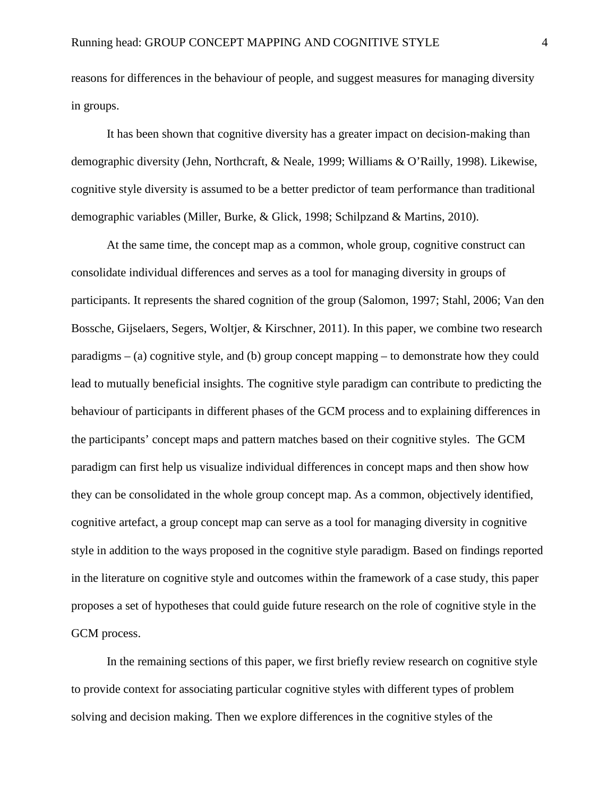reasons for differences in the behaviour of people, and suggest measures for managing diversity in groups.

It has been shown that cognitive diversity has a greater impact on decision-making than demographic diversity (Jehn, Northcraft, & Neale, 1999; Williams & O'Railly, 1998). Likewise, cognitive style diversity is assumed to be a better predictor of team performance than traditional demographic variables (Miller, Burke, & Glick, 1998; Schilpzand & Martins, 2010).

At the same time, the concept map as a common, whole group, cognitive construct can consolidate individual differences and serves as a tool for managing diversity in groups of participants. It represents the shared cognition of the group (Salomon, 1997; Stahl, 2006; Van den Bossche, Gijselaers, Segers, Woltjer, & Kirschner, 2011). In this paper, we combine two research paradigms – (a) cognitive style, and (b) group concept mapping – to demonstrate how they could lead to mutually beneficial insights. The cognitive style paradigm can contribute to predicting the behaviour of participants in different phases of the GCM process and to explaining differences in the participants' concept maps and pattern matches based on their cognitive styles. The GCM paradigm can first help us visualize individual differences in concept maps and then show how they can be consolidated in the whole group concept map. As a common, objectively identified, cognitive artefact, a group concept map can serve as a tool for managing diversity in cognitive style in addition to the ways proposed in the cognitive style paradigm. Based on findings reported in the literature on cognitive style and outcomes within the framework of a case study, this paper proposes a set of hypotheses that could guide future research on the role of cognitive style in the GCM process.

In the remaining sections of this paper, we first briefly review research on cognitive style to provide context for associating particular cognitive styles with different types of problem solving and decision making. Then we explore differences in the cognitive styles of the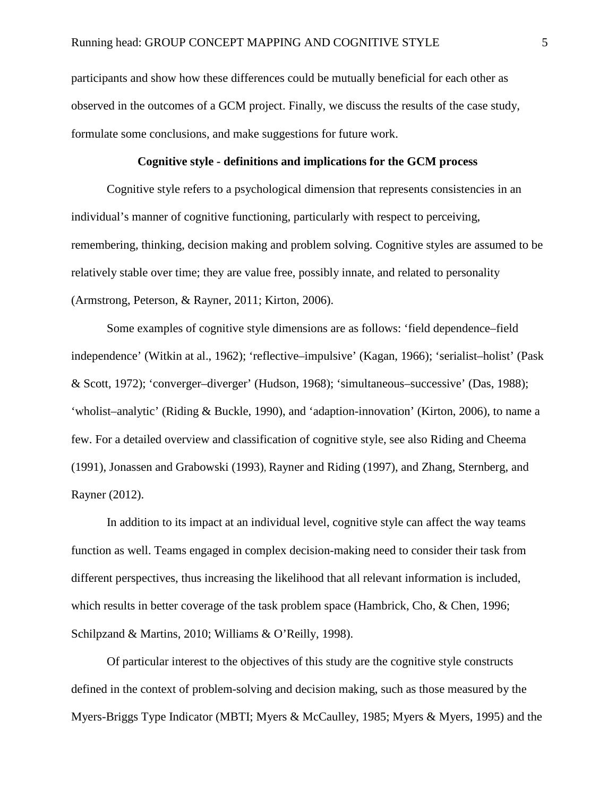participants and show how these differences could be mutually beneficial for each other as observed in the outcomes of a GCM project. Finally, we discuss the results of the case study, formulate some conclusions, and make suggestions for future work.

# **Cognitive style - definitions and implications for the GCM process**

Cognitive style refers to a psychological dimension that represents consistencies in an individual's manner of cognitive functioning, particularly with respect to perceiving, remembering, thinking, decision making and problem solving. Cognitive styles are assumed to be relatively stable over time; they are value free, possibly innate, and related to personality (Armstrong, Peterson, & Rayner, 2011; Kirton, 2006).

Some examples of cognitive style dimensions are as follows: 'field dependence–field independence' (Witkin at al., 1962); 'reflective–impulsive' (Kagan, 1966); 'serialist–holist' (Pask & Scott, 1972); 'converger–diverger' (Hudson, 1968); 'simultaneous–successive' (Das, 1988); 'wholist–analytic' (Riding & Buckle, 1990), and 'adaption-innovation' (Kirton, 2006), to name a few. For a detailed overview and classification of cognitive style, see also Riding and Cheema (1991), Jonassen and Grabowski (1993), Rayner and Riding (1997), and Zhang, Sternberg, and Rayner (2012).

In addition to its impact at an individual level, cognitive style can affect the way teams function as well. Teams engaged in complex decision-making need to consider their task from different perspectives, thus increasing the likelihood that all relevant information is included, which results in better coverage of the task problem space (Hambrick, Cho, & Chen, 1996; Schilpzand & Martins, 2010; Williams & O'Reilly, 1998).

Of particular interest to the objectives of this study are the cognitive style constructs defined in the context of problem-solving and decision making, such as those measured by the Myers-Briggs Type Indicator (MBTI; Myers & McCaulley, 1985; Myers & Myers, 1995) and the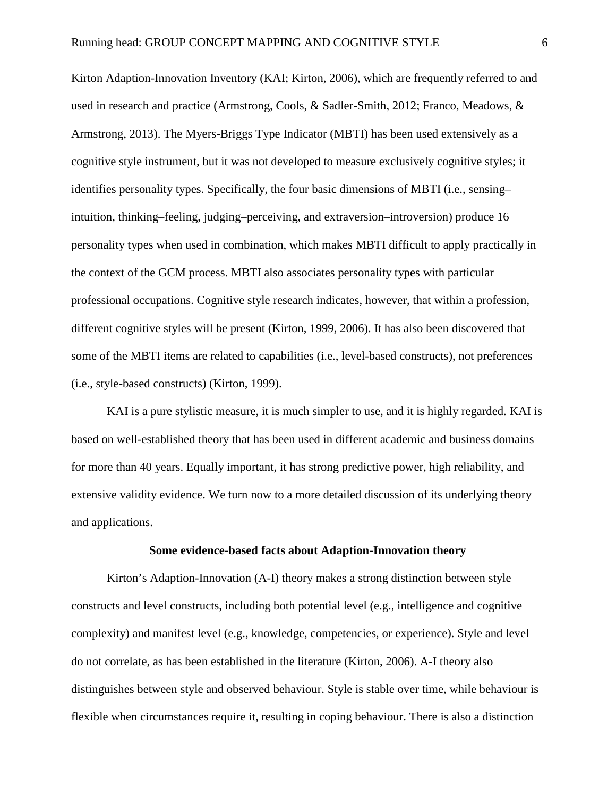Kirton Adaption-Innovation Inventory (KAI; Kirton, 2006), which are frequently referred to and used in research and practice (Armstrong, Cools, & Sadler-Smith, 2012; Franco, Meadows, & Armstrong, 2013). The Myers-Briggs Type Indicator (MBTI) has been used extensively as a cognitive style instrument, but it was not developed to measure exclusively cognitive styles; it identifies personality types. Specifically, the four basic dimensions of MBTI (i.e., sensing– intuition, thinking–feeling, judging–perceiving, and extraversion–introversion) produce 16 personality types when used in combination, which makes MBTI difficult to apply practically in the context of the GCM process. MBTI also associates personality types with particular professional occupations. Cognitive style research indicates, however, that within a profession, different cognitive styles will be present (Kirton, 1999, 2006). It has also been discovered that some of the MBTI items are related to capabilities (i.e., level-based constructs), not preferences (i.e., style-based constructs) (Kirton, 1999).

KAI is a pure stylistic measure, it is much simpler to use, and it is highly regarded. KAI is based on well-established theory that has been used in different academic and business domains for more than 40 years. Equally important, it has strong predictive power, high reliability, and extensive validity evidence. We turn now to a more detailed discussion of its underlying theory and applications.

# **Some evidence-based facts about Adaption-Innovation theory**

Kirton's Adaption-Innovation (A-I) theory makes a strong distinction between style constructs and level constructs, including both potential level (e.g., intelligence and cognitive complexity) and manifest level (e.g., knowledge, competencies, or experience). Style and level do not correlate, as has been established in the literature (Kirton, 2006). A-I theory also distinguishes between style and observed behaviour. Style is stable over time, while behaviour is flexible when circumstances require it, resulting in coping behaviour. There is also a distinction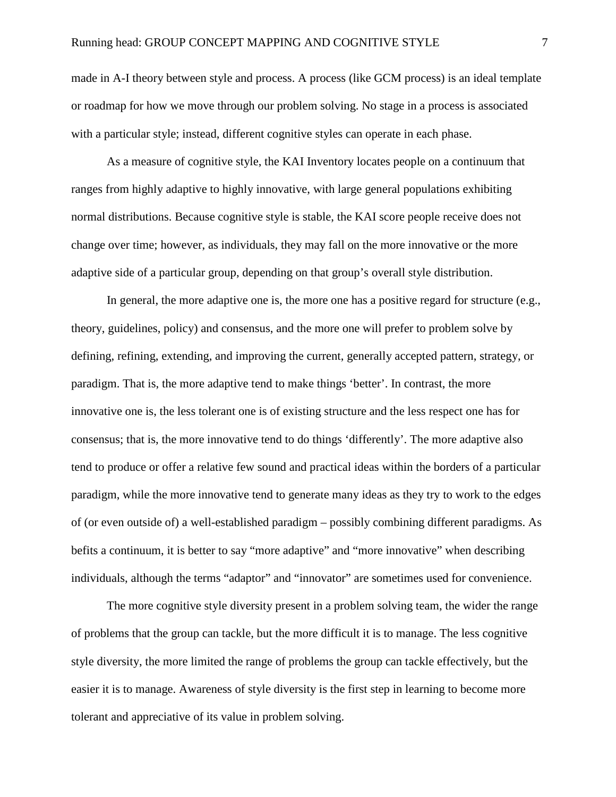made in A-I theory between style and process. A process (like GCM process) is an ideal template or roadmap for how we move through our problem solving. No stage in a process is associated with a particular style; instead, different cognitive styles can operate in each phase.

As a measure of cognitive style, the KAI Inventory locates people on a continuum that ranges from highly adaptive to highly innovative, with large general populations exhibiting normal distributions. Because cognitive style is stable, the KAI score people receive does not change over time; however, as individuals, they may fall on the more innovative or the more adaptive side of a particular group, depending on that group's overall style distribution.

In general, the more adaptive one is, the more one has a positive regard for structure (e.g., theory, guidelines, policy) and consensus, and the more one will prefer to problem solve by defining, refining, extending, and improving the current, generally accepted pattern, strategy, or paradigm. That is, the more adaptive tend to make things 'better'. In contrast, the more innovative one is, the less tolerant one is of existing structure and the less respect one has for consensus; that is, the more innovative tend to do things 'differently'. The more adaptive also tend to produce or offer a relative few sound and practical ideas within the borders of a particular paradigm, while the more innovative tend to generate many ideas as they try to work to the edges of (or even outside of) a well-established paradigm – possibly combining different paradigms. As befits a continuum, it is better to say "more adaptive" and "more innovative" when describing individuals, although the terms "adaptor" and "innovator" are sometimes used for convenience.

The more cognitive style diversity present in a problem solving team, the wider the range of problems that the group can tackle, but the more difficult it is to manage. The less cognitive style diversity, the more limited the range of problems the group can tackle effectively, but the easier it is to manage. Awareness of style diversity is the first step in learning to become more tolerant and appreciative of its value in problem solving.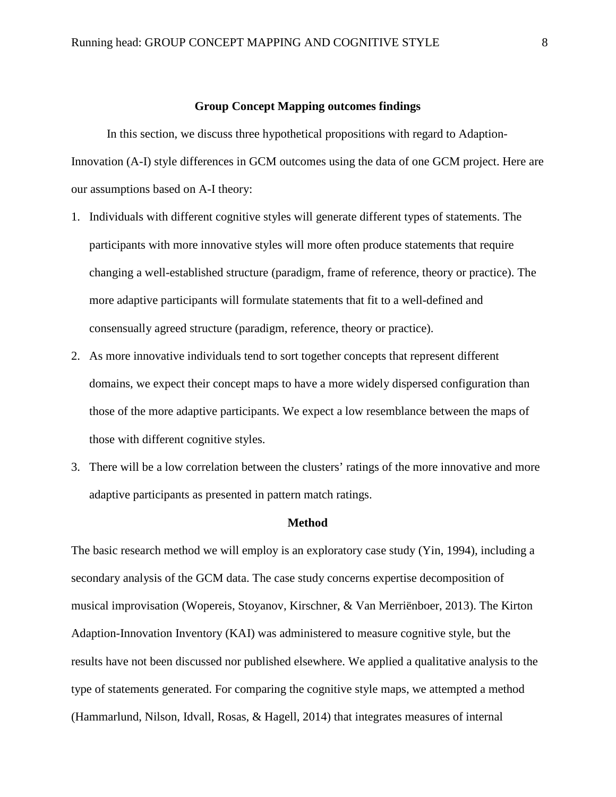#### **Group Concept Mapping outcomes findings**

In this section, we discuss three hypothetical propositions with regard to Adaption-Innovation (A-I) style differences in GCM outcomes using the data of one GCM project. Here are our assumptions based on A-I theory:

- 1. Individuals with different cognitive styles will generate different types of statements. The participants with more innovative styles will more often produce statements that require changing a well-established structure (paradigm, frame of reference, theory or practice). The more adaptive participants will formulate statements that fit to a well-defined and consensually agreed structure (paradigm, reference, theory or practice).
- 2. As more innovative individuals tend to sort together concepts that represent different domains, we expect their concept maps to have a more widely dispersed configuration than those of the more adaptive participants. We expect a low resemblance between the maps of those with different cognitive styles.
- 3. There will be a low correlation between the clusters' ratings of the more innovative and more adaptive participants as presented in pattern match ratings.

#### **Method**

The basic research method we will employ is an exploratory case study (Yin, 1994), including a secondary analysis of the GCM data. The case study concerns expertise decomposition of musical improvisation (Wopereis, Stoyanov, Kirschner, & Van Merriënboer, 2013). The Kirton Adaption-Innovation Inventory (KAI) was administered to measure cognitive style, but the results have not been discussed nor published elsewhere. We applied a qualitative analysis to the type of statements generated. For comparing the cognitive style maps, we attempted a method (Hammarlund, Nilson, Idvall, Rosas, & Hagell, 2014) that integrates measures of internal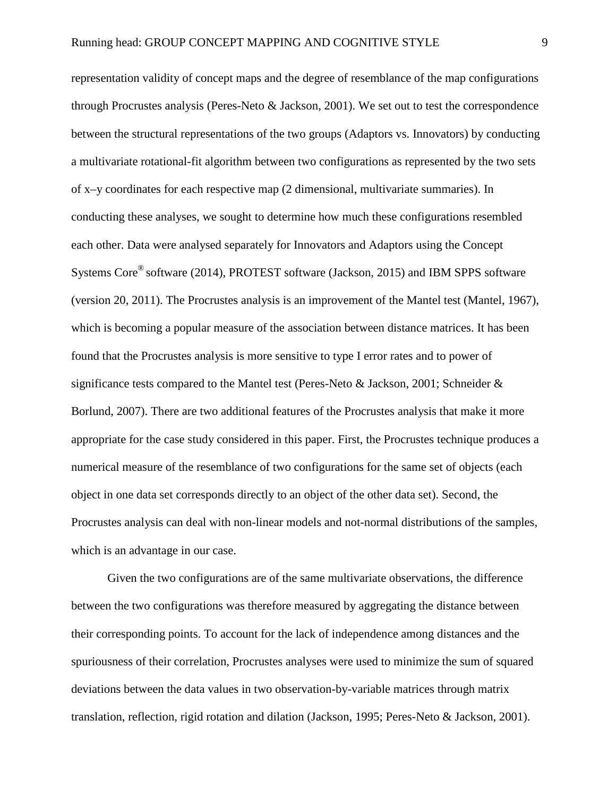representation validity of concept maps and the degree of resemblance of the map configurations through Procrustes analysis (Peres-Neto & Jackson, 2001). We set out to test the correspondence between the structural representations of the two groups (Adaptors vs. Innovators) by conducting a multivariate rotational-fit algorithm between two configurations as represented by the two sets of x–y coordinates for each respective map (2 dimensional, multivariate summaries). In conducting these analyses, we sought to determine how much these configurations resembled each other. Data were analysed separately for Innovators and Adaptors using the Concept Systems Core® software (2014), PROTEST software (Jackson, 2015) and IBM SPPS software (version 20, 2011). The Procrustes analysis is an improvement of the Mantel test (Mantel, 1967), which is becoming a popular measure of the association between distance matrices. It has been found that the Procrustes analysis is more sensitive to type I error rates and to power of significance tests compared to the Mantel test (Peres-Neto & Jackson, 2001; Schneider & Borlund, 2007). There are two additional features of the Procrustes analysis that make it more appropriate for the case study considered in this paper. First, the Procrustes technique produces a numerical measure of the resemblance of two configurations for the same set of objects (each object in one data set corresponds directly to an object of the other data set). Second, the Procrustes analysis can deal with non-linear models and not-normal distributions of the samples, which is an advantage in our case.

Given the two configurations are of the same multivariate observations, the difference between the two configurations was therefore measured by aggregating the distance between their corresponding points. To account for the lack of independence among distances and the spuriousness of their correlation, Procrustes analyses were used to minimize the sum of squared deviations between the data values in two observation-by-variable matrices through matrix translation, reflection, rigid rotation and dilation (Jackson, 1995; Peres-Neto & Jackson, 2001).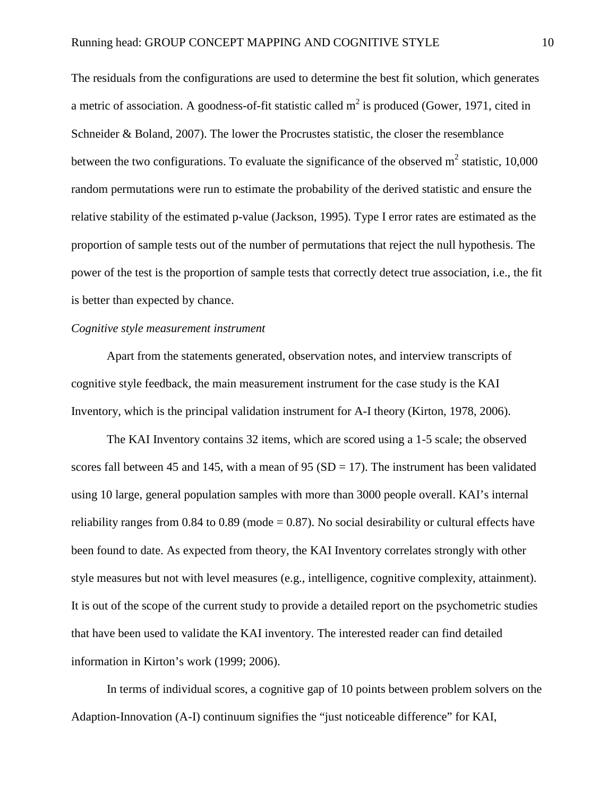The residuals from the configurations are used to determine the best fit solution, which generates a metric of association. A goodness-of-fit statistic called  $m<sup>2</sup>$  is produced (Gower, 1971, cited in Schneider & Boland, 2007). The lower the Procrustes statistic, the closer the resemblance between the two configurations. To evaluate the significance of the observed  $m<sup>2</sup>$  statistic, 10,000 random permutations were run to estimate the probability of the derived statistic and ensure the relative stability of the estimated p-value (Jackson, 1995). Type I error rates are estimated as the proportion of sample tests out of the number of permutations that reject the null hypothesis. The power of the test is the proportion of sample tests that correctly detect true association, i.e., the fit is better than expected by chance.

# *Cognitive style measurement instrument*

Apart from the statements generated, observation notes, and interview transcripts of cognitive style feedback, the main measurement instrument for the case study is the KAI Inventory, which is the principal validation instrument for A-I theory (Kirton, 1978, 2006).

The KAI Inventory contains 32 items, which are scored using a 1-5 scale; the observed scores fall between 45 and 145, with a mean of 95 ( $SD = 17$ ). The instrument has been validated using 10 large, general population samples with more than 3000 people overall. KAI's internal reliability ranges from 0.84 to 0.89 (mode  $= 0.87$ ). No social desirability or cultural effects have been found to date. As expected from theory, the KAI Inventory correlates strongly with other style measures but not with level measures (e.g., intelligence, cognitive complexity, attainment). It is out of the scope of the current study to provide a detailed report on the psychometric studies that have been used to validate the KAI inventory. The interested reader can find detailed information in Kirton's work (1999; 2006).

In terms of individual scores, a cognitive gap of 10 points between problem solvers on the Adaption-Innovation (A-I) continuum signifies the "just noticeable difference" for KAI,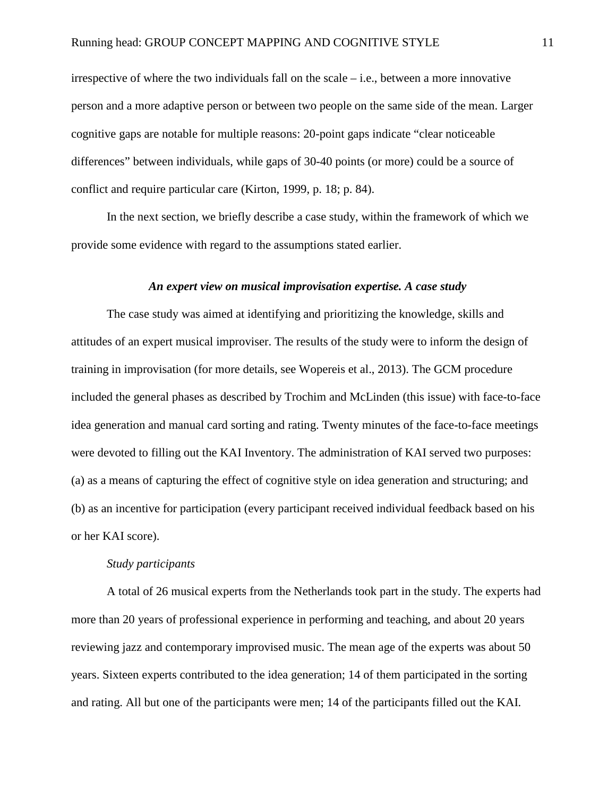irrespective of where the two individuals fall on the scale – i.e., between a more innovative person and a more adaptive person or between two people on the same side of the mean. Larger cognitive gaps are notable for multiple reasons: 20-point gaps indicate "clear noticeable differences" between individuals, while gaps of 30-40 points (or more) could be a source of conflict and require particular care (Kirton, 1999, p. 18; p. 84).

In the next section, we briefly describe a case study, within the framework of which we provide some evidence with regard to the assumptions stated earlier.

#### *An expert view on musical improvisation expertise. A case study*

The case study was aimed at identifying and prioritizing the knowledge, skills and attitudes of an expert musical improviser. The results of the study were to inform the design of training in improvisation (for more details, see Wopereis et al., 2013). The GCM procedure included the general phases as described by Trochim and McLinden (this issue) with face-to-face idea generation and manual card sorting and rating. Twenty minutes of the face-to-face meetings were devoted to filling out the KAI Inventory. The administration of KAI served two purposes: (a) as a means of capturing the effect of cognitive style on idea generation and structuring; and (b) as an incentive for participation (every participant received individual feedback based on his or her KAI score).

## *Study participants*

A total of 26 musical experts from the Netherlands took part in the study. The experts had more than 20 years of professional experience in performing and teaching, and about 20 years reviewing jazz and contemporary improvised music. The mean age of the experts was about 50 years. Sixteen experts contributed to the idea generation; 14 of them participated in the sorting and rating. All but one of the participants were men; 14 of the participants filled out the KAI.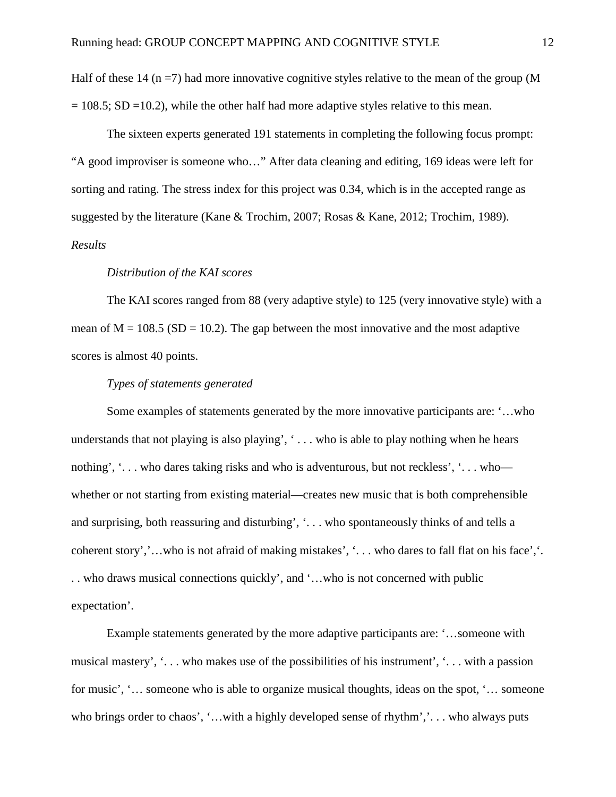Half of these 14 ( $n = 7$ ) had more innovative cognitive styles relative to the mean of the group (M  $= 108.5$ ; SD =10.2), while the other half had more adaptive styles relative to this mean.

The sixteen experts generated 191 statements in completing the following focus prompt: "A good improviser is someone who…" After data cleaning and editing, 169 ideas were left for sorting and rating. The stress index for this project was 0.34, which is in the accepted range as suggested by the literature (Kane & Trochim, 2007; Rosas & Kane, 2012; Trochim, 1989). *Results*

#### *Distribution of the KAI scores*

The KAI scores ranged from 88 (very adaptive style) to 125 (very innovative style) with a mean of  $M = 108.5$  (SD = 10.2). The gap between the most innovative and the most adaptive scores is almost 40 points.

# *Types of statements generated*

Some examples of statements generated by the more innovative participants are: '…who understands that not playing is also playing', ' . . . who is able to play nothing when he hears nothing', '... who dares taking risks and who is adventurous, but not reckless', '... who whether or not starting from existing material—creates new music that is both comprehensible and surprising, both reassuring and disturbing', '. . . who spontaneously thinks of and tells a coherent story','…who is not afraid of making mistakes', '. . . who dares to fall flat on his face','. . . who draws musical connections quickly', and '…who is not concerned with public expectation'.

Example statements generated by the more adaptive participants are: '…someone with musical mastery', '. . . who makes use of the possibilities of his instrument', '. . . with a passion for music', '... someone who is able to organize musical thoughts, ideas on the spot, '... someone who brings order to chaos', '...with a highly developed sense of rhythm','... who always puts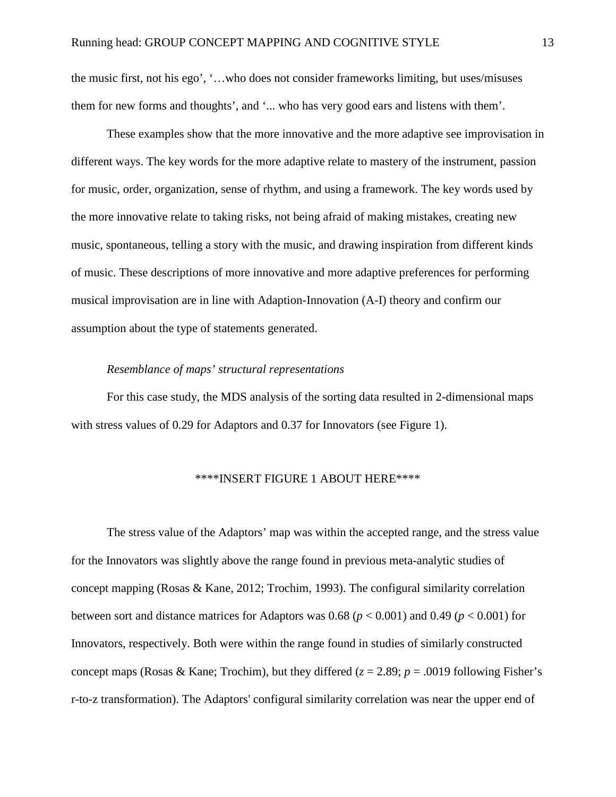the music first, not his ego', '…who does not consider frameworks limiting, but uses/misuses them for new forms and thoughts', and '... who has very good ears and listens with them'.

These examples show that the more innovative and the more adaptive see improvisation in different ways. The key words for the more adaptive relate to mastery of the instrument, passion for music, order, organization, sense of rhythm, and using a framework. The key words used by the more innovative relate to taking risks, not being afraid of making mistakes, creating new music, spontaneous, telling a story with the music, and drawing inspiration from different kinds of music. These descriptions of more innovative and more adaptive preferences for performing musical improvisation are in line with Adaption-Innovation (A-I) theory and confirm our assumption about the type of statements generated.

#### *Resemblance of maps' structural representations*

For this case study, the MDS analysis of the sorting data resulted in 2-dimensional maps with stress values of 0.29 for Adaptors and 0.37 for Innovators (see Figure 1).

#### \*\*\*\*INSERT FIGURE 1 ABOUT HERE\*\*\*\*

The stress value of the Adaptors' map was within the accepted range, and the stress value for the Innovators was slightly above the range found in previous meta-analytic studies of concept mapping (Rosas & Kane, 2012; Trochim, 1993). The configural similarity correlation between sort and distance matrices for Adaptors was  $0.68$  ( $p < 0.001$ ) and  $0.49$  ( $p < 0.001$ ) for Innovators, respectively. Both were within the range found in studies of similarly constructed concept maps (Rosas & Kane; Trochim), but they differed  $(z = 2.89; p = .0019$  following Fisher's r-to-z transformation). The Adaptors' configural similarity correlation was near the upper end of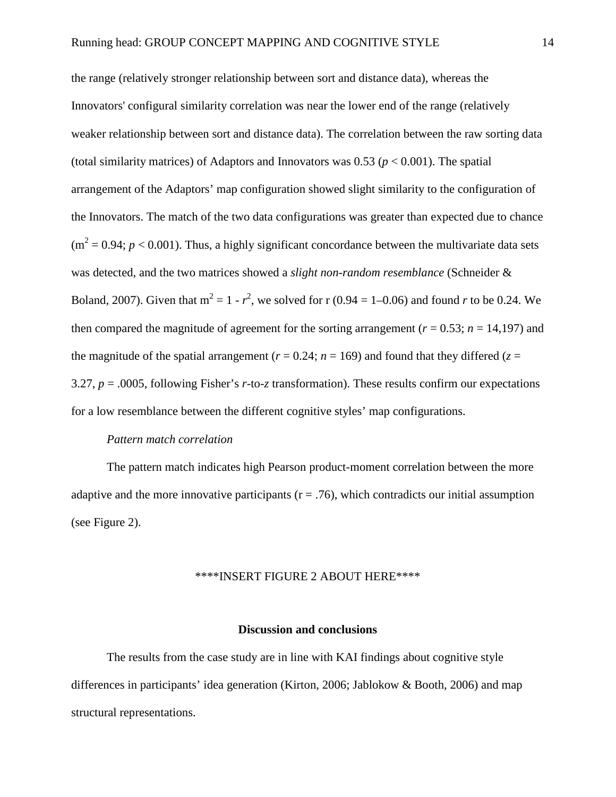the range (relatively stronger relationship between sort and distance data), whereas the Innovators' configural similarity correlation was near the lower end of the range (relatively weaker relationship between sort and distance data). The correlation between the raw sorting data (total similarity matrices) of Adaptors and Innovators was  $0.53$  ( $p < 0.001$ ). The spatial arrangement of the Adaptors' map configuration showed slight similarity to the configuration of the Innovators. The match of the two data configurations was greater than expected due to chance  $(m^2 = 0.94; p < 0.001)$ . Thus, a highly significant concordance between the multivariate data sets was detected, and the two matrices showed a *slight non-random resemblance* (Schneider & Boland, 2007). Given that  $m^2 = 1 - r^2$ , we solved for r (0.94 = 1–0.06) and found *r* to be 0.24. We then compared the magnitude of agreement for the sorting arrangement ( $r = 0.53$ ;  $n = 14,197$ ) and the magnitude of the spatial arrangement ( $r = 0.24$ ;  $n = 169$ ) and found that they differed ( $z =$ 3.27, *p* = .0005, following Fisher's *r*-to-*z* transformation). These results confirm our expectations for a low resemblance between the different cognitive styles' map configurations.

#### *Pattern match correlation*

The pattern match indicates high Pearson product-moment correlation between the more adaptive and the more innovative participants  $(r = .76)$ , which contradicts our initial assumption (see Figure 2).

# \*\*\*\*INSERT FIGURE 2 ABOUT HERE\*\*\*\*

#### **Discussion and conclusions**

The results from the case study are in line with KAI findings about cognitive style differences in participants' idea generation (Kirton, 2006; Jablokow & Booth, 2006) and map structural representations.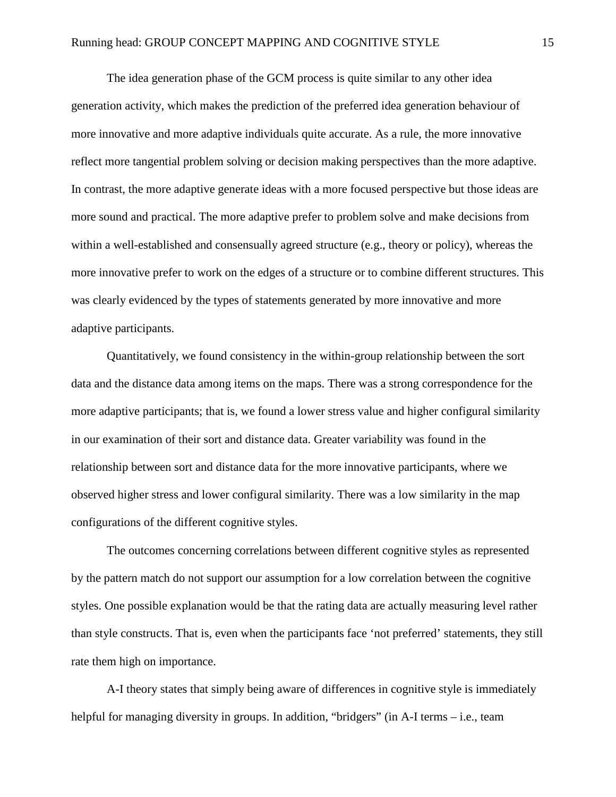The idea generation phase of the GCM process is quite similar to any other idea generation activity, which makes the prediction of the preferred idea generation behaviour of more innovative and more adaptive individuals quite accurate. As a rule, the more innovative reflect more tangential problem solving or decision making perspectives than the more adaptive. In contrast, the more adaptive generate ideas with a more focused perspective but those ideas are more sound and practical. The more adaptive prefer to problem solve and make decisions from within a well-established and consensually agreed structure (e.g., theory or policy), whereas the more innovative prefer to work on the edges of a structure or to combine different structures. This was clearly evidenced by the types of statements generated by more innovative and more adaptive participants.

Quantitatively, we found consistency in the within-group relationship between the sort data and the distance data among items on the maps. There was a strong correspondence for the more adaptive participants; that is, we found a lower stress value and higher configural similarity in our examination of their sort and distance data. Greater variability was found in the relationship between sort and distance data for the more innovative participants, where we observed higher stress and lower configural similarity. There was a low similarity in the map configurations of the different cognitive styles.

The outcomes concerning correlations between different cognitive styles as represented by the pattern match do not support our assumption for a low correlation between the cognitive styles. One possible explanation would be that the rating data are actually measuring level rather than style constructs. That is, even when the participants face 'not preferred' statements, they still rate them high on importance.

A-I theory states that simply being aware of differences in cognitive style is immediately helpful for managing diversity in groups. In addition, "bridgers" (in A-I terms – i.e., team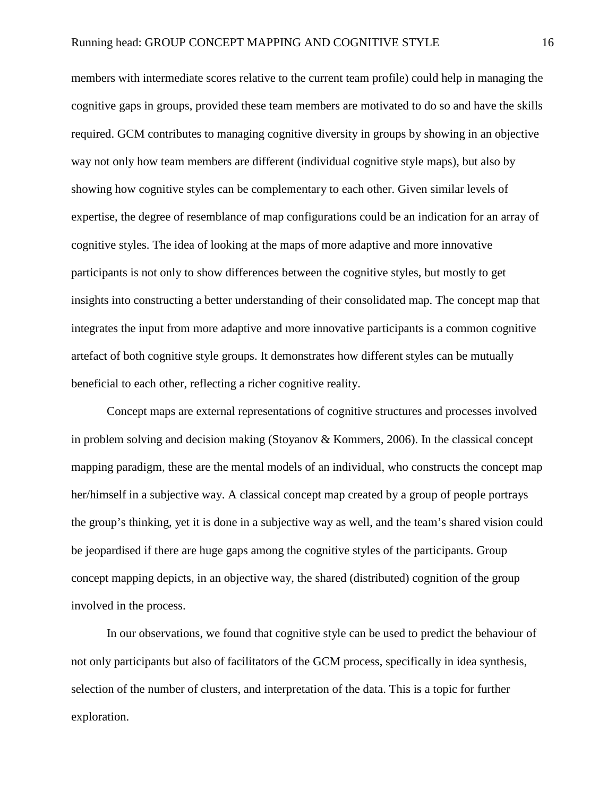members with intermediate scores relative to the current team profile) could help in managing the cognitive gaps in groups, provided these team members are motivated to do so and have the skills required. GCM contributes to managing cognitive diversity in groups by showing in an objective way not only how team members are different (individual cognitive style maps), but also by showing how cognitive styles can be complementary to each other. Given similar levels of expertise, the degree of resemblance of map configurations could be an indication for an array of cognitive styles. The idea of looking at the maps of more adaptive and more innovative participants is not only to show differences between the cognitive styles, but mostly to get insights into constructing a better understanding of their consolidated map. The concept map that integrates the input from more adaptive and more innovative participants is a common cognitive artefact of both cognitive style groups. It demonstrates how different styles can be mutually beneficial to each other, reflecting a richer cognitive reality.

Concept maps are external representations of cognitive structures and processes involved in problem solving and decision making (Stoyanov & Kommers, 2006). In the classical concept mapping paradigm, these are the mental models of an individual, who constructs the concept map her/himself in a subjective way. A classical concept map created by a group of people portrays the group's thinking, yet it is done in a subjective way as well, and the team's shared vision could be jeopardised if there are huge gaps among the cognitive styles of the participants. Group concept mapping depicts, in an objective way, the shared (distributed) cognition of the group involved in the process.

In our observations, we found that cognitive style can be used to predict the behaviour of not only participants but also of facilitators of the GCM process, specifically in idea synthesis, selection of the number of clusters, and interpretation of the data. This is a topic for further exploration.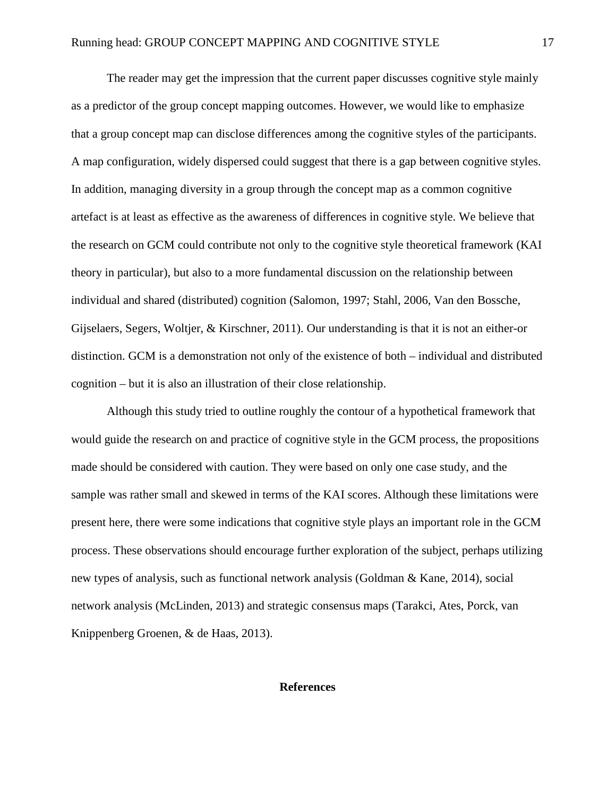The reader may get the impression that the current paper discusses cognitive style mainly as a predictor of the group concept mapping outcomes. However, we would like to emphasize that a group concept map can disclose differences among the cognitive styles of the participants. A map configuration, widely dispersed could suggest that there is a gap between cognitive styles. In addition, managing diversity in a group through the concept map as a common cognitive artefact is at least as effective as the awareness of differences in cognitive style. We believe that the research on GCM could contribute not only to the cognitive style theoretical framework (KAI theory in particular), but also to a more fundamental discussion on the relationship between individual and shared (distributed) cognition (Salomon, 1997; Stahl, 2006, Van den Bossche, Gijselaers, Segers, Woltjer, & Kirschner, 2011). Our understanding is that it is not an either-or distinction. GCM is a demonstration not only of the existence of both – individual and distributed cognition – but it is also an illustration of their close relationship.

Although this study tried to outline roughly the contour of a hypothetical framework that would guide the research on and practice of cognitive style in the GCM process, the propositions made should be considered with caution. They were based on only one case study, and the sample was rather small and skewed in terms of the KAI scores. Although these limitations were present here, there were some indications that cognitive style plays an important role in the GCM process. These observations should encourage further exploration of the subject, perhaps utilizing new types of analysis, such as functional network analysis (Goldman & Kane, 2014), social network analysis (McLinden, 2013) and strategic consensus maps (Tarakci, Ates, Porck, van Knippenberg Groenen, & de Haas, 2013).

#### **References**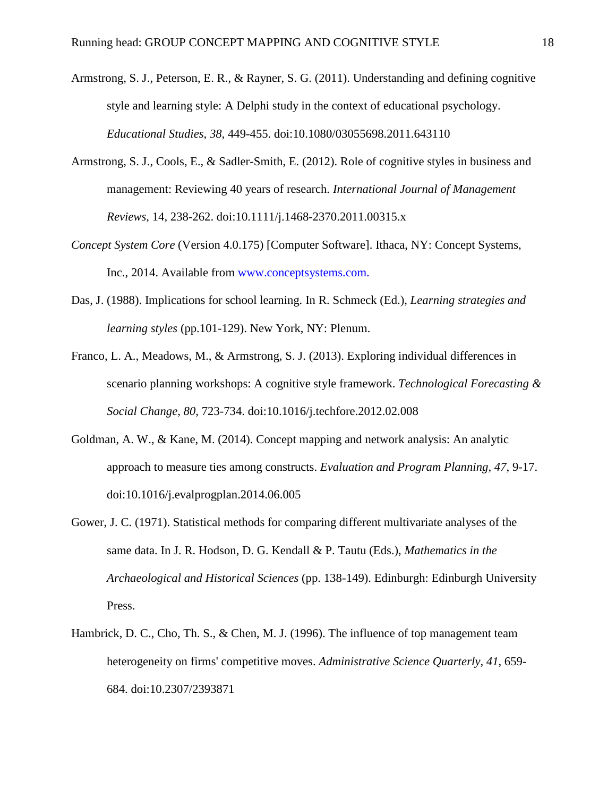- Armstrong, S. J., Peterson, E. R., & Rayner, S. G. (2011). Understanding and defining cognitive style and learning style: A Delphi study in the context of educational psychology. *Educational Studies*, *38*, 449-455. doi:10.1080/03055698.2011.643110
- Armstrong, S. J., Cools, E., & Sadler-Smith, E. (2012). Role of cognitive styles in business and management: Reviewing 40 years of research. *International Journal of Management Reviews*, 14, 238-262. doi:10.1111/j.1468-2370.2011.00315.x
- *Concept System Core* (Version 4.0.175) [Computer Software]. Ithaca, NY: Concept Systems, Inc., 2014. Available from www.conceptsystems.com.
- Das, J. (1988). Implications for school learning. In R. Schmeck (Ed.), *Learning strategies and learning styles* (pp.101-129). New York, NY: Plenum.
- Franco, L. A., Meadows, M., & Armstrong, S. J. (2013). Exploring individual differences in scenario planning workshops: A cognitive style framework. *Technological Forecasting & Social Change*, *80*, 723-734. doi:10.1016/j.techfore.2012.02.008
- Goldman, A. W., & Kane, M. (2014). Concept mapping and network analysis: An analytic approach to measure ties among constructs. *Evaluation and Program Planning*, *47*, 9-17. doi:10.1016/j.evalprogplan.2014.06.005
- Gower, J. C. (1971). Statistical methods for comparing different multivariate analyses of the same data. In J. R. Hodson, D. G. Kendall & P. Tautu (Eds.), *Mathematics in the Archaeological and Historical Sciences* (pp. 138-149). Edinburgh: Edinburgh University Press.
- Hambrick, D. C., Cho, Th. S., & Chen, M. J. (1996). The influence of top management team heterogeneity on firms' competitive moves. *Administrative Science Quarterly, 41*, 659- 684. doi:10.2307/2393871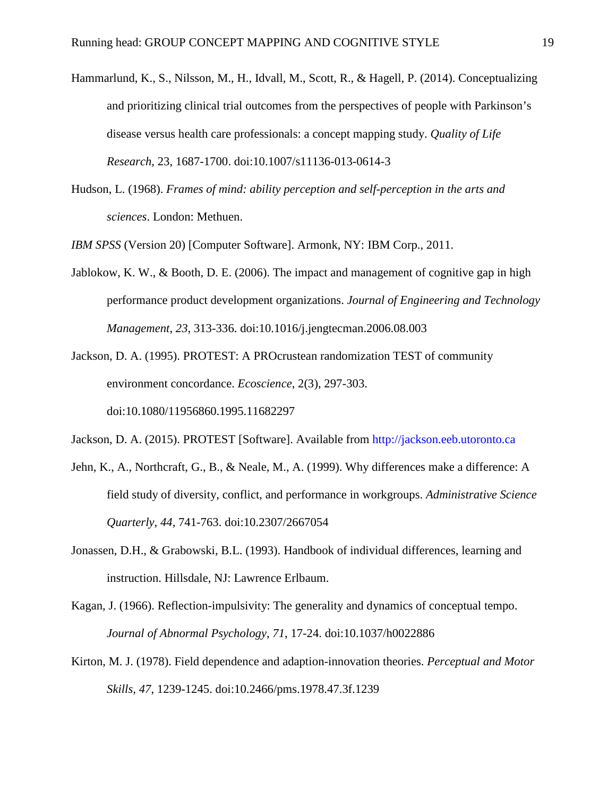- Hammarlund, K., S., Nilsson, M., H., Idvall, M., Scott, R., & Hagell, P. (2014). Conceptualizing and prioritizing clinical trial outcomes from the perspectives of people with Parkinson's disease versus health care professionals: a concept mapping study. *Quality of Life Research*, 23, 1687-1700. doi:10.1007/s11136-013-0614-3
- Hudson, L. (1968). *Frames of mind: ability perception and self-perception in the arts and sciences*. London: Methuen.

*IBM SPSS* (Version 20) [Computer Software]. Armonk, NY: IBM Corp., 2011.

- Jablokow, K. W., & Booth, D. E. (2006). The impact and management of cognitive gap in high performance product development organizations. *Journal of Engineering and Technology Management*, *23*, 313-336. doi:10.1016/j.jengtecman.2006.08.003
- Jackson, D. A. (1995). PROTEST: A PROcrustean randomization TEST of community environment concordance. *Ecoscience*, 2(3), 297-303. doi:10.1080/11956860.1995.11682297

- Jehn, K., A., Northcraft, G., B., & Neale, M., A. (1999). Why differences make a difference: A field study of diversity, conflict, and performance in workgroups. *Administrative Science Quarterly*, *44*, 741-763. doi:10.2307/2667054
- Jonassen, D.H., & Grabowski, B.L. (1993). Handbook of individual differences, learning and instruction. Hillsdale, NJ: Lawrence Erlbaum.
- Kagan, J. (1966). Reflection-impulsivity: The generality and dynamics of conceptual tempo. *Journal of Abnormal Psychology*, *71*, 17-24. doi:10.1037/h0022886
- Kirton, M. J. (1978). Field dependence and adaption-innovation theories. *Perceptual and Motor Skills, 47*, 1239-1245. doi:10.2466/pms.1978.47.3f.1239

Jackson, D. A. (2015). PROTEST [Software]. Available from http://jackson.eeb.utoronto.ca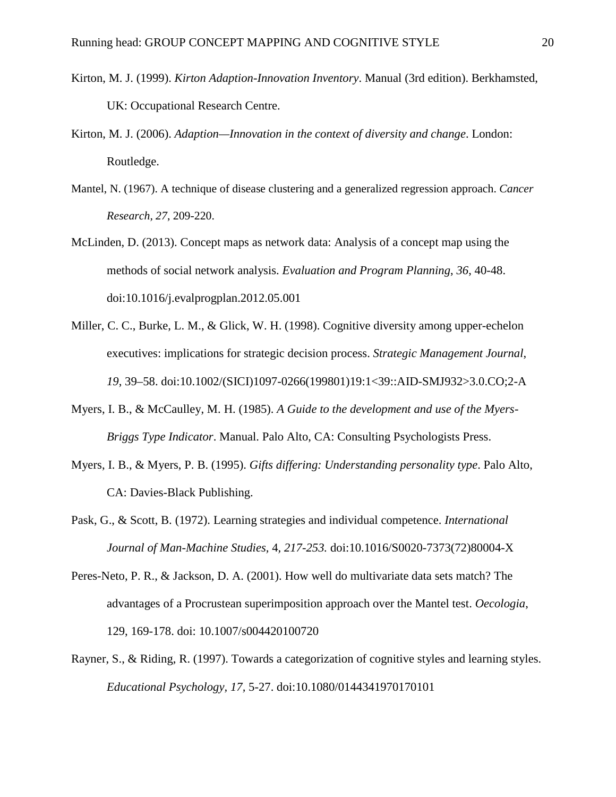- Kirton, M. J. (1999). *Kirton Adaption-Innovation Inventory*. Manual (3rd edition). Berkhamsted, UK: Occupational Research Centre.
- Kirton, M. J. (2006). *Adaption—Innovation in the context of diversity and change*. London: Routledge.
- Mantel, N. (1967). A technique of disease clustering and a generalized regression approach. *Cancer Research, 27*, 209-220.
- McLinden, D. (2013). Concept maps as network data: Analysis of a concept map using the methods of social network analysis. *Evaluation and Program Planning*, *36*, 40-48. doi:10.1016/j.evalprogplan.2012.05.001
- Miller, C. C., Burke, L. M., & Glick, W. H. (1998). Cognitive diversity among upper-echelon executives: implications for strategic decision process. *Strategic Management Journal*, *19*, 39–58. doi:10.1002/(SICI)1097-0266(199801)19:1<39::AID-SMJ932>3.0.CO;2-A
- Myers, I. B., & McCaulley, M. H. (1985). *A Guide to the development and use of the Myers-Briggs Type Indicator*. Manual. Palo Alto, CA: Consulting Psychologists Press.
- Myers, I. B., & Myers, P. B. (1995). *Gifts differing: Understanding personality type*. Palo Alto, CA: Davies-Black Publishing.
- Pask, G., & Scott, B. (1972). Learning strategies and individual competence. *International Journal of Man-Machine Studies,* 4*, 217-253.* doi:10.1016/S0020-7373(72)80004-X
- Peres-Neto, P. R., & Jackson, D. A. (2001). How well do multivariate data sets match? The advantages of a Procrustean superimposition approach over the Mantel test. *Oecologia*, 129, 169-178. doi: 10.1007/s004420100720
- Rayner, S., & Riding, R. (1997). Towards a categorization of cognitive styles and learning styles. *Educational Psychology, 17,* 5-27. doi:10.1080/0144341970170101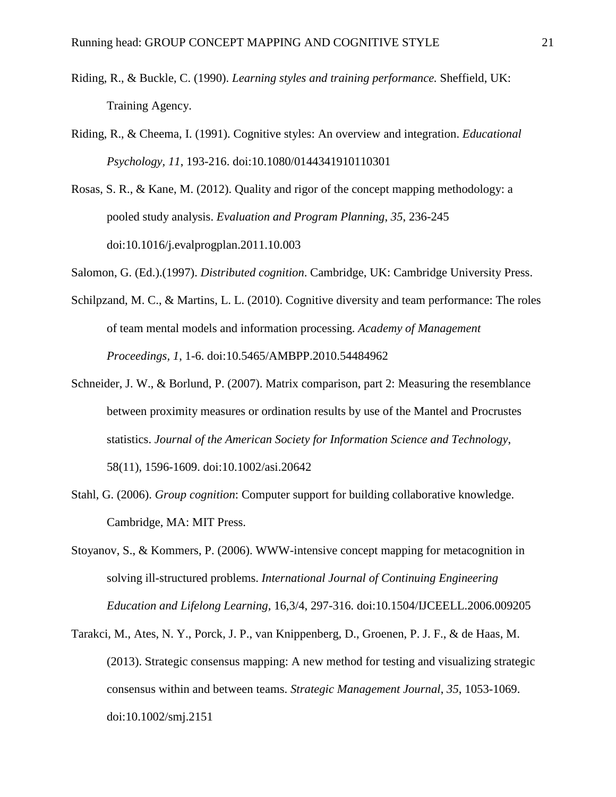- Riding, R., & Buckle, C. (1990). *Learning styles and training performance.* Sheffield, UK: Training Agency.
- Riding, R., & Cheema, I. (1991). Cognitive styles: An overview and integration. *Educational Psychology, 11*, 193-216. doi:10.1080/0144341910110301
- Rosas, S. R., & Kane, M. (2012). Quality and rigor of the concept mapping methodology: a pooled study analysis. *Evaluation and Program Planning*, *35*, 236-245 doi:10.1016/j.evalprogplan.2011.10.003

Salomon, G. (Ed.).(1997). *Distributed cognition*. Cambridge, UK: Cambridge University Press.

- Schilpzand, M. C., & Martins, L. L. (2010). Cognitive diversity and team performance: The roles of team mental models and information processing. *Academy of Management Proceedings, 1*, 1-6. doi:10.5465/AMBPP.2010.54484962
- Schneider, J. W., & Borlund, P. (2007). Matrix comparison, part 2: Measuring the resemblance between proximity measures or ordination results by use of the Mantel and Procrustes statistics. *Journal of the American Society for Information Science and Technology*, 58(11), 1596-1609. doi:10.1002/asi.20642
- Stahl, G. (2006). *Group cognition*: Computer support for building collaborative knowledge. Cambridge, MA: MIT Press.
- Stoyanov, S., & Kommers, P. (2006). WWW-intensive concept mapping for metacognition in solving ill-structured problems. *International Journal of Continuing Engineering Education and Lifelong Learning,* 16,3/4, 297-316. doi:10.1504/IJCEELL.2006.009205
- Tarakci, M., Ates, N. Y., Porck, J. P., van Knippenberg, D., Groenen, P. J. F., & de Haas, M. (2013). Strategic consensus mapping: A new method for testing and visualizing strategic consensus within and between teams. *Strategic Management Journal*, *35*, 1053-1069. doi:10.1002/smj.2151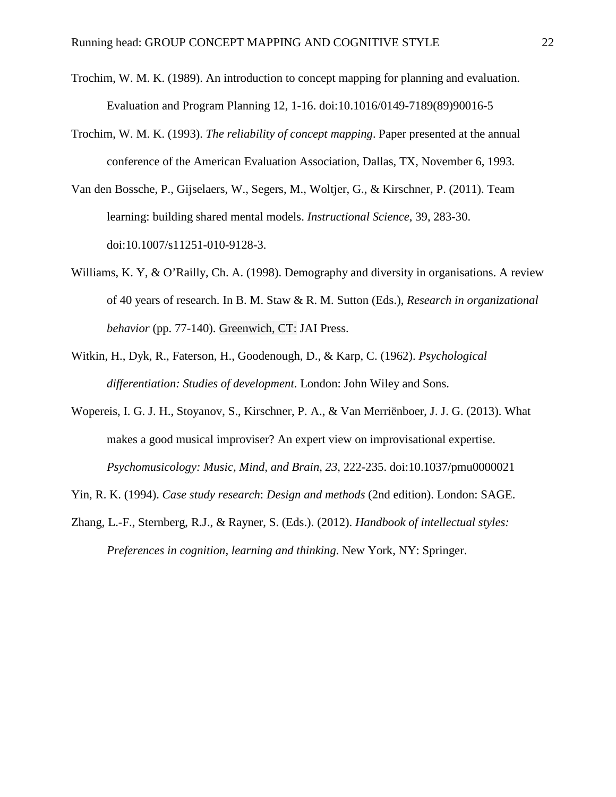- Trochim, W. M. K. (1989). An introduction to concept mapping for planning and evaluation. Evaluation and Program Planning 12, 1-16. doi:10.1016/0149-7189(89)90016-5
- Trochim, W. M. K. (1993). *The reliability of concept mapping*. Paper presented at the annual conference of the American Evaluation Association, Dallas, TX, November 6, 1993.
- Van den Bossche, P., Gijselaers, W., Segers, M., Woltjer, G., & Kirschner, P. (2011). Team learning: building shared mental models. *Instructional Science*, 39, 283-30. doi:10.1007/s11251-010-9128-3.
- Williams, K. Y. & O'Railly, Ch. A. (1998). Demography and diversity in organisations. A review of 40 years of research. In B. M. Staw & R. M. Sutton (Eds.), *Research in organizational behavior* (pp. 77-140). Greenwich, CT: JAI Press.
- Witkin, H., Dyk, R., Faterson, H., Goodenough, D., & Karp, C. (1962). *Psychological differentiation: Studies of development*. London: John Wiley and Sons.
- Wopereis, I. G. J. H., Stoyanov, S., Kirschner, P. A., & Van Merriënboer, J. J. G. (2013). What makes a good musical improviser? An expert view on improvisational expertise. *Psychomusicology: Music, Mind, and Brain*, *23*, 222-235. doi:10.1037/pmu0000021
- Yin, R. K. (1994). *Case study research*: *Design and methods* (2nd edition). London: SAGE.
- Zhang, L.-F., Sternberg, R.J., & Rayner, S. (Eds.). (2012). *Handbook of intellectual styles: Preferences in cognition, learning and thinking*. New York, NY: Springer.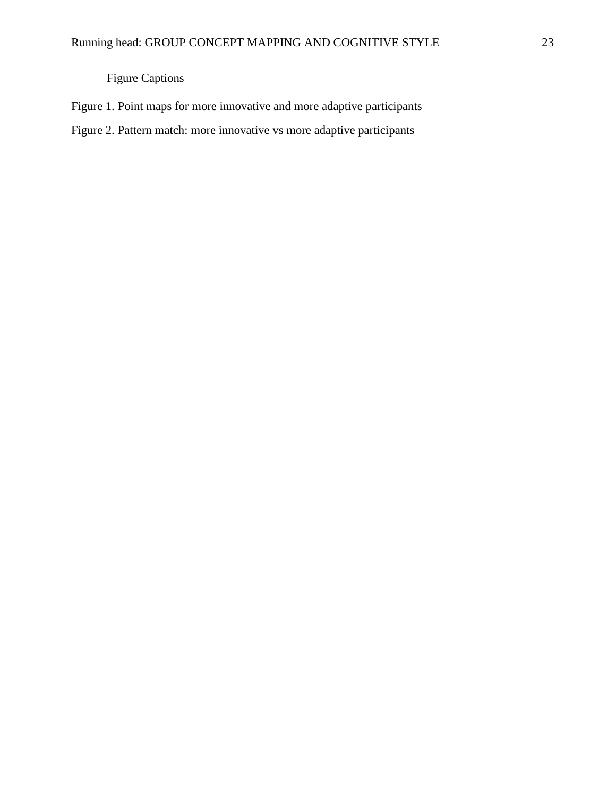Figure Captions

Figure 1. Point maps for more innovative and more adaptive participants

Figure 2. Pattern match: more innovative vs more adaptive participants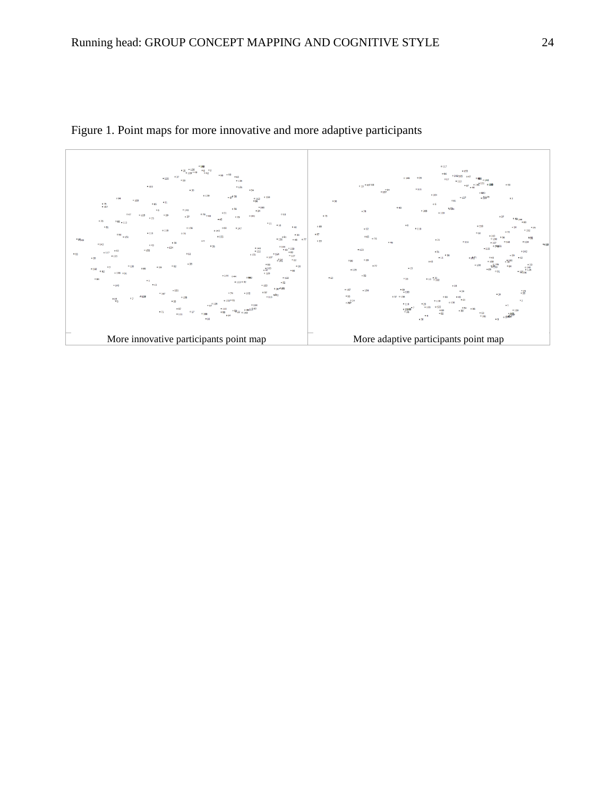

Figure 1. Point maps for more innovative and more adaptive participants